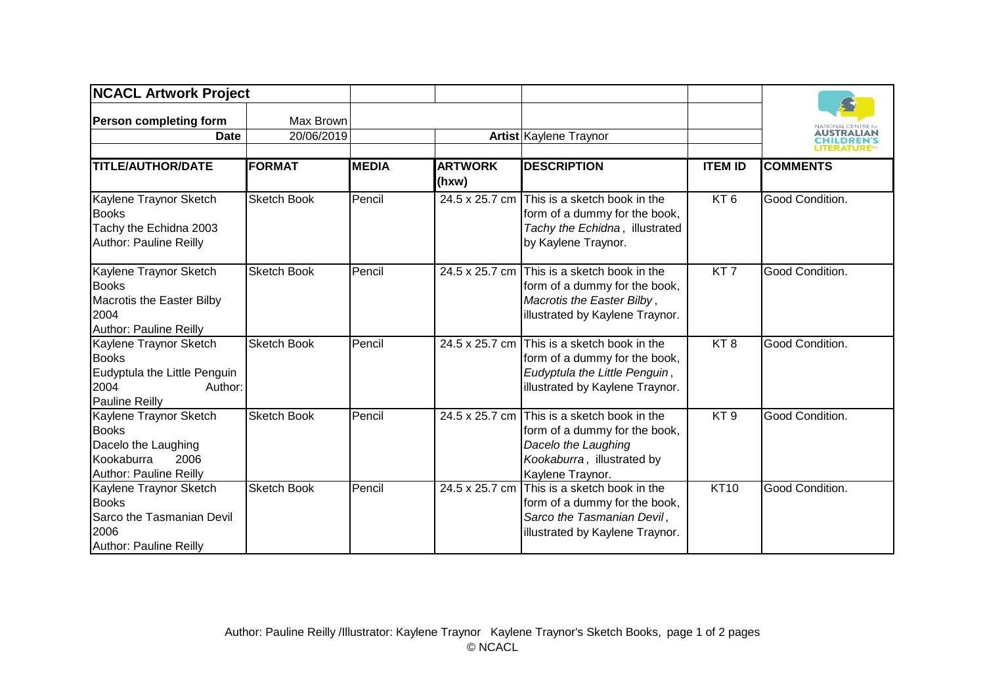| <b>NCACL Artwork Project</b>                                                                                       |                    |              |                         |                                                                                                                                        |                 |                                         |
|--------------------------------------------------------------------------------------------------------------------|--------------------|--------------|-------------------------|----------------------------------------------------------------------------------------------------------------------------------------|-----------------|-----------------------------------------|
| <b>Person completing form</b>                                                                                      | Max Brown          |              |                         |                                                                                                                                        |                 | NATIONAL CENTRE f<br>AUSTRALIAN         |
| <b>Date</b>                                                                                                        | 20/06/2019         |              |                         | Artist Kaylene Traynor                                                                                                                 |                 | <b>CHILDREN'S</b><br><b>LITERATURE™</b> |
| <b>TITLE/AUTHOR/DATE</b>                                                                                           | <b>FORMAT</b>      | <b>MEDIA</b> | <b>ARTWORK</b><br>(hxw) | <b>DESCRIPTION</b>                                                                                                                     | <b>ITEM ID</b>  | <b>COMMENTS</b>                         |
| Kaylene Traynor Sketch<br><b>Books</b><br>Tachy the Echidna 2003<br><b>Author: Pauline Reilly</b>                  | <b>Sketch Book</b> | Pencil       |                         | 24.5 x 25.7 cm This is a sketch book in the<br>form of a dummy for the book,<br>Tachy the Echidna, illustrated<br>by Kaylene Traynor.  | KT <sub>6</sub> | Good Condition.                         |
| Kaylene Traynor Sketch<br><b>Books</b><br>Macrotis the Easter Bilby<br>2004<br><b>Author: Pauline Reilly</b>       | <b>Sketch Book</b> | Pencil       | 24.5 x 25.7 cm          | This is a sketch book in the<br>form of a dummy for the book,<br>Macrotis the Easter Bilby,<br>illustrated by Kaylene Traynor.         | KT <sub>7</sub> | Good Condition.                         |
| Kaylene Traynor Sketch<br><b>Books</b><br>Eudyptula the Little Penguin<br>2004<br>Author:<br><b>Pauline Reilly</b> | <b>Sketch Book</b> | Pencil       | 24.5 x 25.7 cm          | This is a sketch book in the<br>form of a dummy for the book,<br>Eudyptula the Little Penguin,<br>illustrated by Kaylene Traynor.      | KT <sub>8</sub> | Good Condition.                         |
| Kaylene Traynor Sketch<br><b>Books</b><br>Dacelo the Laughing<br>Kookaburra<br>2006<br>Author: Pauline Reilly      | <b>Sketch Book</b> | Pencil       | 24.5 x 25.7 cm          | This is a sketch book in the<br>form of a dummy for the book,<br>Dacelo the Laughing<br>Kookaburra, illustrated by<br>Kaylene Traynor. | KT <sub>9</sub> | Good Condition.                         |
| Kaylene Traynor Sketch<br><b>Books</b><br>Sarco the Tasmanian Devil<br>2006<br>Author: Pauline Reilly              | <b>Sketch Book</b> | Pencil       | 24.5 x 25.7 cm          | This is a sketch book in the<br>form of a dummy for the book,<br>Sarco the Tasmanian Devil,<br>illustrated by Kaylene Traynor.         | <b>KT10</b>     | Good Condition.                         |